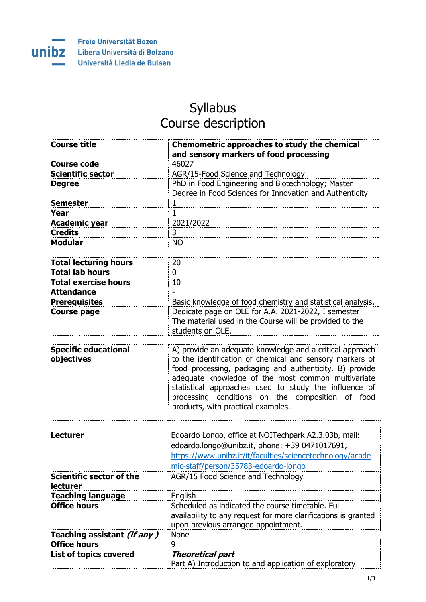

## Syllabus Course description

| <b>Course title</b>                                | Chemometric approaches to study the chemical<br>and sensory markers of food processing                                                                                                                                                                                                                                                                                                   |
|----------------------------------------------------|------------------------------------------------------------------------------------------------------------------------------------------------------------------------------------------------------------------------------------------------------------------------------------------------------------------------------------------------------------------------------------------|
| <b>Course code</b>                                 | 46027                                                                                                                                                                                                                                                                                                                                                                                    |
| <b>Scientific sector</b>                           | AGR/15-Food Science and Technology                                                                                                                                                                                                                                                                                                                                                       |
| <b>Degree</b>                                      | PhD in Food Engineering and Biotechnology; Master<br>Degree in Food Sciences for Innovation and Authenticity                                                                                                                                                                                                                                                                             |
| <b>Semester</b>                                    | 1                                                                                                                                                                                                                                                                                                                                                                                        |
| Year                                               | $\mathbf{1}$                                                                                                                                                                                                                                                                                                                                                                             |
| <b>Academic year</b>                               | 2021/2022                                                                                                                                                                                                                                                                                                                                                                                |
| <b>Credits</b>                                     | 3                                                                                                                                                                                                                                                                                                                                                                                        |
| <b>Modular</b>                                     | <b>NO</b>                                                                                                                                                                                                                                                                                                                                                                                |
|                                                    |                                                                                                                                                                                                                                                                                                                                                                                          |
| <b>Total lecturing hours</b>                       | 20                                                                                                                                                                                                                                                                                                                                                                                       |
| <b>Total lab hours</b>                             | 0                                                                                                                                                                                                                                                                                                                                                                                        |
| <b>Total exercise hours</b>                        | 10                                                                                                                                                                                                                                                                                                                                                                                       |
| <b>Attendance</b>                                  |                                                                                                                                                                                                                                                                                                                                                                                          |
| <b>Prerequisites</b>                               | Basic knowledge of food chemistry and statistical analysis.                                                                                                                                                                                                                                                                                                                              |
| <b>Course page</b>                                 | Dedicate page on OLE for A.A. 2021-2022, I semester<br>The material used in the Course will be provided to the<br>students on OLE.                                                                                                                                                                                                                                                       |
| <b>Specific educational</b><br>objectives          | A) provide an adequate knowledge and a critical approach<br>to the identification of chemical and sensory markers of<br>food processing, packaging and authenticity. B) provide<br>adequate knowledge of the most common multivariate<br>statistical approaches used to study the influence of<br>processing conditions on the composition of food<br>products, with practical examples. |
|                                                    |                                                                                                                                                                                                                                                                                                                                                                                          |
| <b>Lecturer</b>                                    | Edoardo Longo, office at NOITechpark A2.3.03b, mail:<br>edoardo.longo@unibz.it, phone: +39 0471017691,<br>https://www.unibz.it/it/faculties/sciencetechnology/acade<br>mic-staff/person/35783-edoardo-longo                                                                                                                                                                              |
| <b>Scientific sector of the</b><br><b>lecturer</b> | AGR/15 Food Science and Technology                                                                                                                                                                                                                                                                                                                                                       |
| <b>Teaching language</b>                           | English                                                                                                                                                                                                                                                                                                                                                                                  |
| <b>Office hours</b>                                | Scheduled as indicated the course timetable. Full                                                                                                                                                                                                                                                                                                                                        |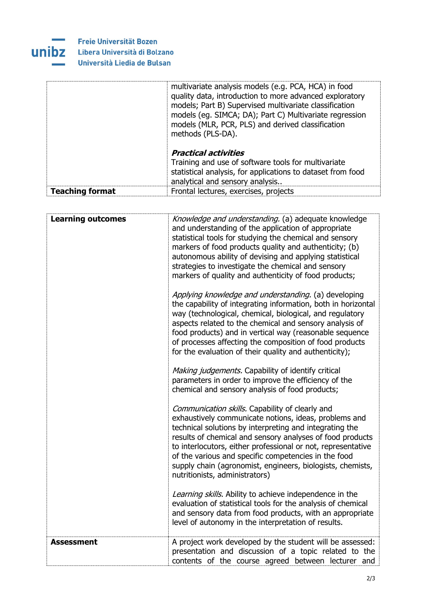

|                        | multivariate analysis models (e.g. PCA, HCA) in food<br>quality data, introduction to more advanced exploratory<br>models; Part B) Supervised multivariate classification<br>models (eg. SIMCA; DA); Part C) Multivariate regression<br>models (MLR, PCR, PLS) and derived classification<br>methods (PLS-DA). |
|------------------------|----------------------------------------------------------------------------------------------------------------------------------------------------------------------------------------------------------------------------------------------------------------------------------------------------------------|
|                        | <b>Practical activities</b><br>Training and use of software tools for multivariate<br>statistical analysis, for applications to dataset from food<br>analytical and sensory analysis                                                                                                                           |
| <b>Teaching format</b> | Frontal lectures, exercises, projects                                                                                                                                                                                                                                                                          |

| <b>Learning outcomes</b> | Knowledge and understanding. (a) adequate knowledge<br>and understanding of the application of appropriate<br>statistical tools for studying the chemical and sensory<br>markers of food products quality and authenticity; (b)<br>autonomous ability of devising and applying statistical<br>strategies to investigate the chemical and sensory<br>markers of quality and authenticity of food products;<br>Applying knowledge and understanding. (a) developing<br>the capability of integrating information, both in horizontal<br>way (technological, chemical, biological, and regulatory<br>aspects related to the chemical and sensory analysis of<br>food products) and in vertical way (reasonable sequence<br>of processes affecting the composition of food products<br>for the evaluation of their quality and authenticity);<br>Making judgements. Capability of identify critical<br>parameters in order to improve the efficiency of the<br>chemical and sensory analysis of food products;<br>Communication skills. Capability of clearly and<br>exhaustively communicate notions, ideas, problems and<br>technical solutions by interpreting and integrating the<br>results of chemical and sensory analyses of food products<br>to interlocutors, either professional or not, representative<br>of the various and specific competencies in the food<br>supply chain (agronomist, engineers, biologists, chemists,<br>nutritionists, administrators)<br>Learning skills. Ability to achieve independence in the<br>evaluation of statistical tools for the analysis of chemical<br>and sensory data from food products, with an appropriate<br>level of autonomy in the interpretation of results. |
|--------------------------|----------------------------------------------------------------------------------------------------------------------------------------------------------------------------------------------------------------------------------------------------------------------------------------------------------------------------------------------------------------------------------------------------------------------------------------------------------------------------------------------------------------------------------------------------------------------------------------------------------------------------------------------------------------------------------------------------------------------------------------------------------------------------------------------------------------------------------------------------------------------------------------------------------------------------------------------------------------------------------------------------------------------------------------------------------------------------------------------------------------------------------------------------------------------------------------------------------------------------------------------------------------------------------------------------------------------------------------------------------------------------------------------------------------------------------------------------------------------------------------------------------------------------------------------------------------------------------------------------------------------------------------------------------------------------------------------------------------------|
| Assessment               | A project work developed by the student will be assessed:<br>presentation and discussion of a topic related to the<br>contents of the course agreed between lecturer and                                                                                                                                                                                                                                                                                                                                                                                                                                                                                                                                                                                                                                                                                                                                                                                                                                                                                                                                                                                                                                                                                                                                                                                                                                                                                                                                                                                                                                                                                                                                             |